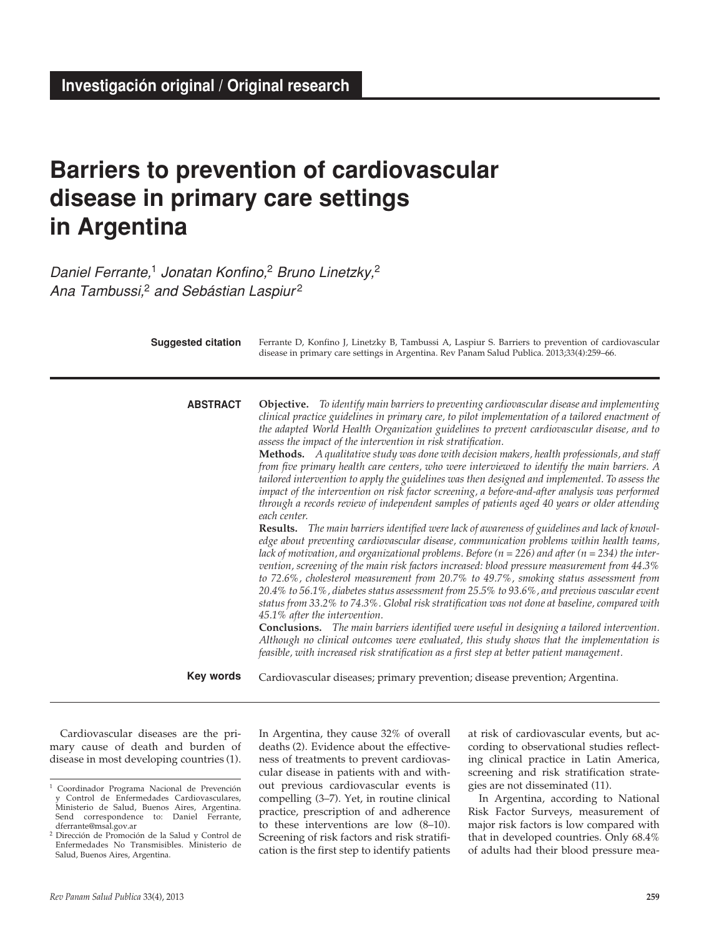# **Barriers to prevention of cardiovascular disease in primary care settings in Argentina**

*Daniel Ferrante,*1 *Jonatan Konfino,*2 *Bruno Linetzky,*<sup>2</sup> *Ana Tambussi,*2 *and Sebástian Laspiur* <sup>2</sup>

| <b>Suggested citation</b> | Ferrante D, Konfino J, Linetzky B, Tambussi A, Laspiur S. Barriers to prevention of cardiovascular<br>disease in primary care settings in Argentina. Rev Panam Salud Publica. 2013;33(4):259-66.                                                                                                                                                                                                                                                                                                                                                                                                                                                                                                                                                                                                                                                                                                                                                                                                                                                                                                                                                                                                                                                                                                                                                                                                                                                                                                                                                                                                                                                                                                                                                                                                                                                                                                                                     |
|---------------------------|--------------------------------------------------------------------------------------------------------------------------------------------------------------------------------------------------------------------------------------------------------------------------------------------------------------------------------------------------------------------------------------------------------------------------------------------------------------------------------------------------------------------------------------------------------------------------------------------------------------------------------------------------------------------------------------------------------------------------------------------------------------------------------------------------------------------------------------------------------------------------------------------------------------------------------------------------------------------------------------------------------------------------------------------------------------------------------------------------------------------------------------------------------------------------------------------------------------------------------------------------------------------------------------------------------------------------------------------------------------------------------------------------------------------------------------------------------------------------------------------------------------------------------------------------------------------------------------------------------------------------------------------------------------------------------------------------------------------------------------------------------------------------------------------------------------------------------------------------------------------------------------------------------------------------------------|
| <b>ABSTRACT</b>           | <b>Objective.</b> To identify main barriers to preventing cardiovascular disease and implementing<br>clinical practice guidelines in primary care, to pilot implementation of a tailored enactment of<br>the adapted World Health Organization guidelines to prevent cardiovascular disease, and to<br>assess the impact of the intervention in risk stratification.<br>Methods. A qualitative study was done with decision makers, health professionals, and staff<br>from five primary health care centers, who were interviewed to identify the main barriers. A<br>tailored intervention to apply the guidelines was then designed and implemented. To assess the<br>impact of the intervention on risk factor screening, a before-and-after analysis was performed<br>through a records review of independent samples of patients aged 40 years or older attending<br>each center.<br><b>Results.</b> The main barriers identified were lack of awareness of guidelines and lack of knowl-<br>edge about preventing cardiovascular disease, communication problems within health teams,<br>lack of motivation, and organizational problems. Before ( $n = 226$ ) and after ( $n = 234$ ) the inter-<br>vention, screening of the main risk factors increased: blood pressure measurement from 44.3%<br>to 72.6%, cholesterol measurement from 20.7% to 49.7%, smoking status assessment from<br>20.4% to 56.1%, diabetes status assessment from 25.5% to 93.6%, and previous vascular event<br>status from 33.2% to 74.3%. Global risk stratification was not done at baseline, compared with<br>45.1% after the intervention.<br><b>Conclusions.</b> The main barriers identified were useful in designing a tailored intervention.<br>Although no clinical outcomes were evaluated, this study shows that the implementation is<br>feasible, with increased risk stratification as a first step at better patient management. |
| <b>Key words</b>          | Cardiovascular diseases; primary prevention; disease prevention; Argentina.                                                                                                                                                                                                                                                                                                                                                                                                                                                                                                                                                                                                                                                                                                                                                                                                                                                                                                                                                                                                                                                                                                                                                                                                                                                                                                                                                                                                                                                                                                                                                                                                                                                                                                                                                                                                                                                          |

Cardiovascular diseases are the primary cause of death and burden of disease in most developing countries (1). In Argentina, they cause 32% of overall deaths (2). Evidence about the effectiveness of treatments to prevent cardiovascular disease in patients with and without previous cardiovascular events is compelling (3–7). Yet, in routine clinical practice, prescription of and adherence to these interventions are low (8–10). Screening of risk factors and risk stratification is the first step to identify patients

at risk of cardiovascular events, but according to observational studies reflecting clinical practice in Latin America, screening and risk stratification strategies are not disseminated (11).

In Argentina, according to National Risk Factor Surveys, measurement of major risk factors is low compared with that in developed countries. Only 68.4% of adults had their blood pressure mea-

<sup>1</sup> Coordinador Programa Nacional de Prevención Control de Enfermedades Cardiovasculares, Ministerio de Salud, Buenos Aires, Argentina. Send correspondence to: Daniel Ferrante, dferrante@msal.gov.ar

<sup>2</sup> Dirección de Promoción de la Salud y Control de Enfermedades No Transmisibles. Ministerio de Salud, Buenos Aires, Argentina.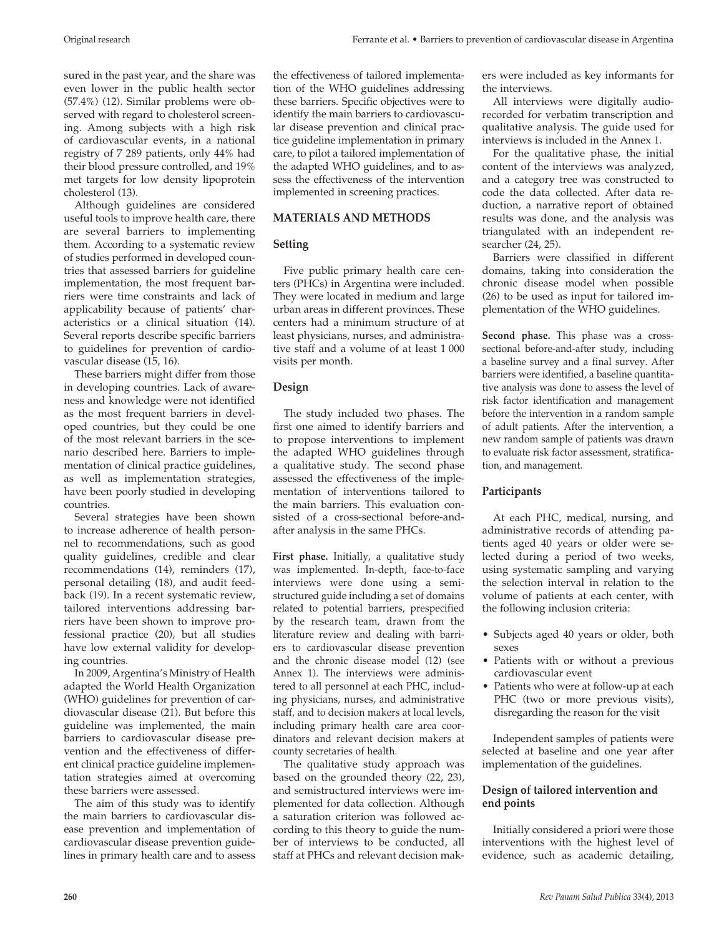sured in the past year, and the share was even lower in the public health sector (57.4%) (12). Similar problems were observed with regard to cholesterol screening. Among subjects with a high risk of cardiovascular events, in a national registry of 7 289 patients, only 44% had their blood pressure controlled, and 19% met targets for low density lipoprotein cholesterol (13).

Although guidelines are considered useful tools to improve health care, there are several barriers to implementing them. According to a systematic review of studies performed in developed countries that assessed barriers for guideline implementation, the most frequent barriers were time constraints and lack of applicability because of patients' characteristics or a clinical situation (14). Several reports describe specific barriers to guidelines for prevention of cardiovascular disease (15, 16).

These barriers might differ from those in developing countries. Lack of awareness and knowledge were not identified as the most frequent barriers in developed countries, but they could be one of the most relevant barriers in the scenario described here. Barriers to implementation of clinical practice guidelines, as well as implementation strategies, have been poorly studied in developing countries.

Several strategies have been shown to increase adherence of health personnel to recommendations, such as good quality guidelines, credible and clear recommendations (14), reminders (17), personal detailing (18), and audit feedback (19). In a recent systematic review, tailored interventions addressing barriers have been shown to improve professional practice (20), but all studies have low external validity for developing countries.

In 2009, Argentina's Ministry of Health adapted the World Health Organization (WHO) guidelines for prevention of cardiovascular disease (21). But before this guideline was implemented, the main barriers to cardiovascular disease prevention and the effectiveness of different clinical practice guideline implementation strategies aimed at overcoming these barriers were assessed.

The aim of this study was to identify the main barriers to cardiovascular disease prevention and implementation of cardiovascular disease prevention guidelines in primary health care and to assess

# **materials and methods**

sess the effectiveness of the intervention implemented in screening practices.

# **Setting**

Five public primary health care centers (PHCs) in Argentina were included. They were located in medium and large urban areas in different provinces. These centers had a minimum structure of at least physicians, nurses, and administrative staff and a volume of at least 1 000 visits per month.

# **Design**

The study included two phases. The first one aimed to identify barriers and to propose interventions to implement the adapted WHO guidelines through a qualitative study. The second phase assessed the effectiveness of the implementation of interventions tailored to the main barriers. This evaluation consisted of a cross-sectional before-andafter analysis in the same PHCs.

**First phase.** Initially, a qualitative study was implemented. In-depth, face-to-face interviews were done using a semistructured guide including a set of domains related to potential barriers, prespecified by the research team, drawn from the literature review and dealing with barriers to cardiovascular disease prevention and the chronic disease model (12) (see Annex 1). The interviews were administered to all personnel at each PHC, including physicians, nurses, and administrative staff, and to decision makers at local levels, including primary health care area coordinators and relevant decision makers at county secretaries of health.

The qualitative study approach was based on the grounded theory (22, 23), and semistructured interviews were implemented for data collection. Although a saturation criterion was followed according to this theory to guide the number of interviews to be conducted, all staff at PHCs and relevant decision makers were included as key informants for the interviews.

All interviews were digitally audiorecorded for verbatim transcription and qualitative analysis. The guide used for interviews is included in the Annex 1.

For the qualitative phase, the initial content of the interviews was analyzed, and a category tree was constructed to code the data collected. After data reduction, a narrative report of obtained results was done, and the analysis was triangulated with an independent researcher (24, 25).

Barriers were classified in different domains, taking into consideration the chronic disease model when possible (26) to be used as input for tailored implementation of the WHO guidelines.

**Second phase.** This phase was a crosssectional before-and-after study, including a baseline survey and a final survey. After barriers were identified, a baseline quantitative analysis was done to assess the level of risk factor identification and management before the intervention in a random sample of adult patients. After the intervention, a new random sample of patients was drawn to evaluate risk factor assessment, stratification, and management.

# **Participants**

At each PHC, medical, nursing, and administrative records of attending patients aged 40 years or older were selected during a period of two weeks, using systematic sampling and varying the selection interval in relation to the volume of patients at each center, with the following inclusion criteria:

- • Subjects aged 40 years or older, both sexes
- Patients with or without a previous cardiovascular event
- Patients who were at follow-up at each PHC (two or more previous visits), disregarding the reason for the visit

Independent samples of patients were selected at baseline and one year after implementation of the guidelines.

# **Design of tailored intervention and end points**

Initially considered a priori were those interventions with the highest level of evidence, such as academic detailing,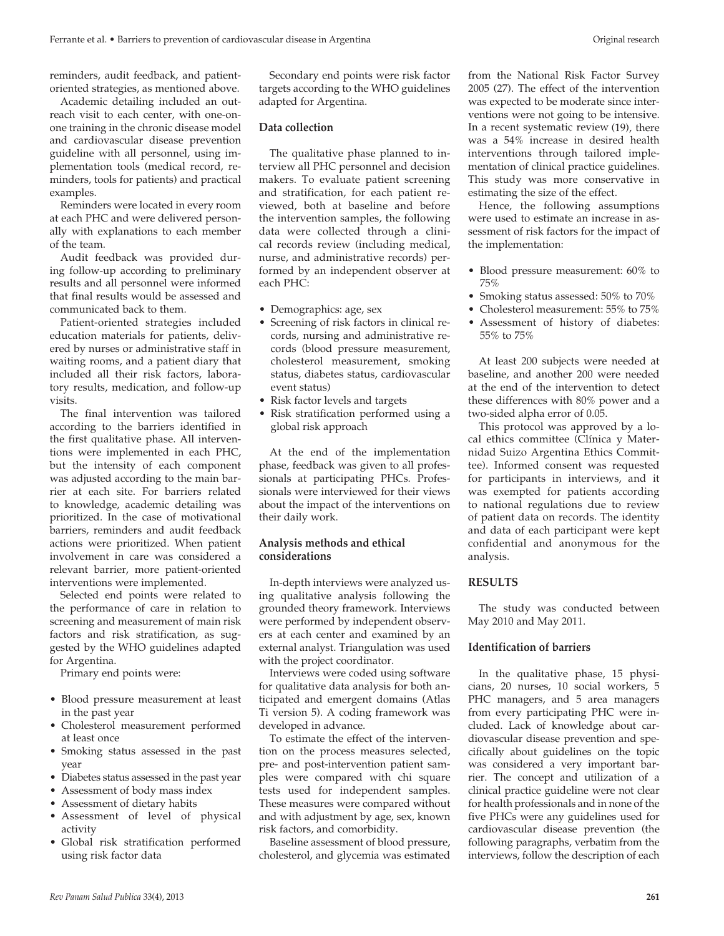reminders, audit feedback, and patientoriented strategies, as mentioned above.

Academic detailing included an outreach visit to each center, with one-onone training in the chronic disease model and cardiovascular disease prevention guideline with all personnel, using implementation tools (medical record, reminders, tools for patients) and practical examples.

Reminders were located in every room at each PHC and were delivered personally with explanations to each member of the team.

Audit feedback was provided during follow-up according to preliminary results and all personnel were informed that final results would be assessed and communicated back to them.

Patient-oriented strategies included education materials for patients, delivered by nurses or administrative staff in waiting rooms, and a patient diary that included all their risk factors, laboratory results, medication, and follow-up visits.

The final intervention was tailored according to the barriers identified in the first qualitative phase. All interventions were implemented in each PHC, but the intensity of each component was adjusted according to the main barrier at each site. For barriers related to knowledge, academic detailing was prioritized. In the case of motivational barriers, reminders and audit feedback actions were prioritized. When patient involvement in care was considered a relevant barrier, more patient-oriented interventions were implemented.

Selected end points were related to the performance of care in relation to screening and measurement of main risk factors and risk stratification, as suggested by the WHO guidelines adapted for Argentina.

Primary end points were:

- • Blood pressure measurement at least in the past year
- • Cholesterol measurement performed at least once
- • Smoking status assessed in the past year
- Diabetes status assessed in the past year
- Assessment of body mass index
- Assessment of dietary habits
- Assessment of level of physical activity
- • Global risk stratification performed using risk factor data

Secondary end points were risk factor targets according to the WHO guidelines adapted for Argentina.

### **Data collection**

The qualitative phase planned to interview all PHC personnel and decision makers. To evaluate patient screening and stratification, for each patient reviewed, both at baseline and before the intervention samples, the following data were collected through a clinical records review (including medical, nurse, and administrative records) performed by an independent observer at each PHC:

- Demographics: age, sex
- • Screening of risk factors in clinical records, nursing and administrative records (blood pressure measurement, cholesterol measurement, smoking status, diabetes status, cardiovascular event status)
- Risk factor levels and targets
- Risk stratification performed using a global risk approach

At the end of the implementation phase, feedback was given to all professionals at participating PHCs. Professionals were interviewed for their views about the impact of the interventions on their daily work.

# **Analysis methods and ethical considerations**

In-depth interviews were analyzed using qualitative analysis following the grounded theory framework. Interviews were performed by independent observers at each center and examined by an external analyst. Triangulation was used with the project coordinator.

Interviews were coded using software for qualitative data analysis for both anticipated and emergent domains (Atlas Ti version 5). A coding framework was developed in advance.

To estimate the effect of the intervention on the process measures selected, pre- and post-intervention patient samples were compared with chi square tests used for independent samples. These measures were compared without and with adjustment by age, sex, known risk factors, and comorbidity.

Baseline assessment of blood pressure, cholesterol, and glycemia was estimated from the National Risk Factor Survey 2005 (27). The effect of the intervention was expected to be moderate since interventions were not going to be intensive. In a recent systematic review (19), there was a 54% increase in desired health interventions through tailored implementation of clinical practice guidelines. This study was more conservative in estimating the size of the effect.

Hence, the following assumptions were used to estimate an increase in assessment of risk factors for the impact of the implementation:

- Blood pressure measurement: 60% to 75%
- Smoking status assessed: 50% to 70%
- Cholesterol measurement: 55% to 75%
- • Assessment of history of diabetes: 55% to 75%

At least 200 subjects were needed at baseline, and another 200 were needed at the end of the intervention to detect these differences with 80% power and a two-sided alpha error of 0.05.

This protocol was approved by a local ethics committee (Clínica y Maternidad Suizo Argentina Ethics Committee). Informed consent was requested for participants in interviews, and it was exempted for patients according to national regulations due to review of patient data on records. The identity and data of each participant were kept confidential and anonymous for the analysis.

## **Results**

The study was conducted between May 2010 and May 2011.

## **Identification of barriers**

In the qualitative phase, 15 physicians, 20 nurses, 10 social workers, 5 PHC managers, and 5 area managers from every participating PHC were included. Lack of knowledge about cardiovascular disease prevention and specifically about guidelines on the topic was considered a very important barrier. The concept and utilization of a clinical practice guideline were not clear for health professionals and in none of the five PHCs were any guidelines used for cardiovascular disease prevention (the following paragraphs, verbatim from the interviews, follow the description of each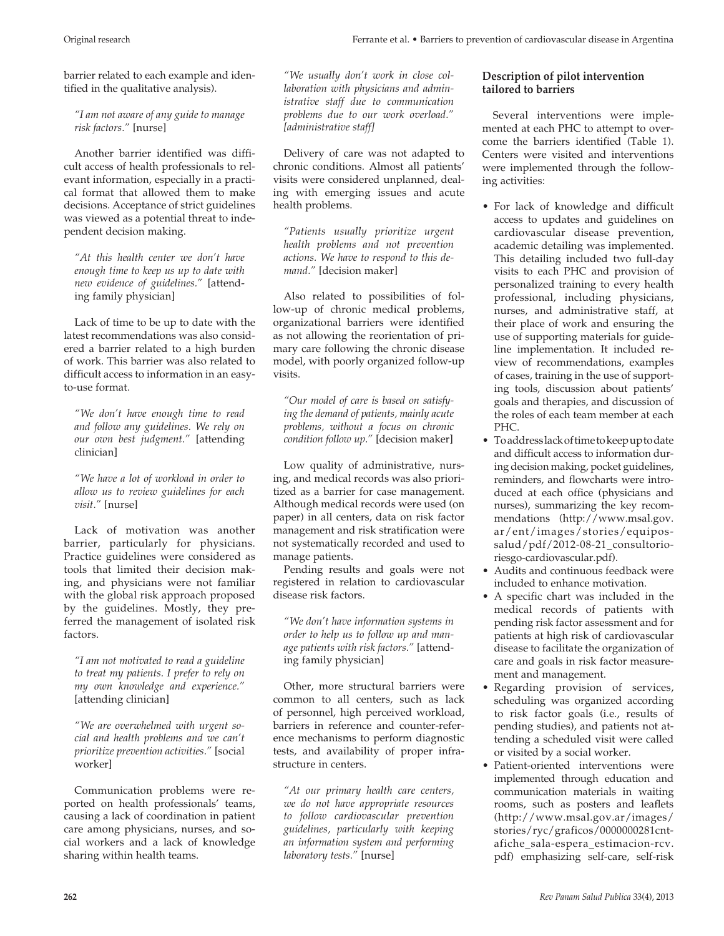barrier related to each example and identified in the qualitative analysis).

*"I am not aware of any guide to manage risk factors."* [nurse]

Another barrier identified was difficult access of health professionals to relevant information, especially in a practical format that allowed them to make decisions. Acceptance of strict guidelines was viewed as a potential threat to independent decision making.

*"At this health center we don't have enough time to keep us up to date with new evidence of guidelines."* [attending family physician]

Lack of time to be up to date with the latest recommendations was also considered a barrier related to a high burden of work. This barrier was also related to difficult access to information in an easyto-use format.

*"We don't have enough time to read and follow any guidelines. We rely on our own best judgment."* [attending clinician]

*"We have a lot of workload in order to allow us to review guidelines for each visit."* [nurse]

Lack of motivation was another barrier, particularly for physicians. Practice guidelines were considered as tools that limited their decision making, and physicians were not familiar with the global risk approach proposed by the guidelines. Mostly, they preferred the management of isolated risk factors.

*"I am not motivated to read a guideline to treat my patients. I prefer to rely on my own knowledge and experience."*  [attending clinician]

*"We are overwhelmed with urgent social and health problems and we can't prioritize prevention activities."* [social worker]

Communication problems were reported on health professionals' teams, causing a lack of coordination in patient care among physicians, nurses, and social workers and a lack of knowledge sharing within health teams.

*"We usually don't work in close collaboration with physicians and administrative staff due to communication problems due to our work overload." [administrative staff]*

Delivery of care was not adapted to chronic conditions. Almost all patients' visits were considered unplanned, dealing with emerging issues and acute health problems.

*"Patients usually prioritize urgent health problems and not prevention actions. We have to respond to this demand."* [decision maker]

Also related to possibilities of follow-up of chronic medical problems, organizational barriers were identified as not allowing the reorientation of primary care following the chronic disease model, with poorly organized follow-up visits.

*"Our model of care is based on satisfying the demand of patients, mainly acute problems, without a focus on chronic condition follow up."* [decision maker]

Low quality of administrative, nursing, and medical records was also prioritized as a barrier for case management. Although medical records were used (on paper) in all centers, data on risk factor management and risk stratification were not systematically recorded and used to manage patients.

Pending results and goals were not registered in relation to cardiovascular disease risk factors.

*"We don't have information systems in order to help us to follow up and manage patients with risk factors."* [attending family physician]

Other, more structural barriers were common to all centers, such as lack of personnel, high perceived workload, barriers in reference and counter-reference mechanisms to perform diagnostic tests, and availability of proper infrastructure in centers.

*"At our primary health care centers, we do not have appropriate resources to follow cardiovascular prevention guidelines, particularly with keeping an information system and performing laboratory tests."* [nurse]

# **Description of pilot intervention tailored to barriers**

Several interventions were implemented at each PHC to attempt to overcome the barriers identified (Table 1). Centers were visited and interventions were implemented through the following activities:

- • For lack of knowledge and difficult access to updates and guidelines on cardiovascular disease prevention, academic detailing was implemented. This detailing included two full-day visits to each PHC and provision of personalized training to every health professional, including physicians, nurses, and administrative staff, at their place of work and ensuring the use of supporting materials for guideline implementation. It included review of recommendations, examples of cases, training in the use of supporting tools, discussion about patients' goals and therapies, and discussion of the roles of each team member at each PHC.
- • Toaddresslackoftimetokeepuptodate and difficult access to information during decision making, pocket guidelines, reminders, and flowcharts were introduced at each office (physicians and nurses), summarizing the key recommendations (http://www.msal.gov. ar/ent/images/stories/equipossalud/pdf/2012-08-21\_consultorioriesgo-cardiovascular.pdf).
- Audits and continuous feedback were included to enhance motivation.
- • A specific chart was included in the medical records of patients with pending risk factor assessment and for patients at high risk of cardiovascular disease to facilitate the organization of care and goals in risk factor measurement and management.
- • Regarding provision of services, scheduling was organized according to risk factor goals (i.e., results of pending studies), and patients not attending a scheduled visit were called or visited by a social worker.
- • Patient-oriented interventions were implemented through education and communication materials in waiting rooms, such as posters and leaflets (http://www.msal.gov.ar/images/ stories/ryc/graficos/0000000281cntafiche\_sala-espera\_estimacion-rcv. pdf) emphasizing self-care, self-risk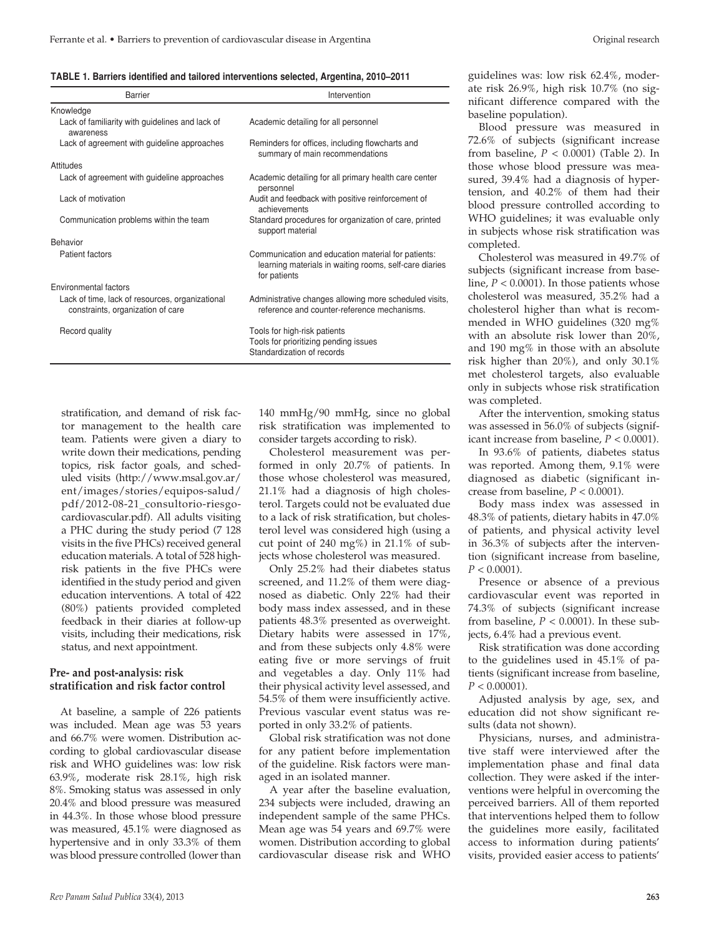| TABLE 1. Barriers identified and tailored interventions selected, Argentina, 2010–2011 |  |  |
|----------------------------------------------------------------------------------------|--|--|
|                                                                                        |  |  |

| Barrier                                                                              | Intervention                                                                                                                 |
|--------------------------------------------------------------------------------------|------------------------------------------------------------------------------------------------------------------------------|
| Knowledge                                                                            |                                                                                                                              |
| Lack of familiarity with guidelines and lack of<br>awareness                         | Academic detailing for all personnel                                                                                         |
| Lack of agreement with guideline approaches                                          | Reminders for offices, including flowcharts and<br>summary of main recommendations                                           |
| Attitudes                                                                            |                                                                                                                              |
| Lack of agreement with guideline approaches                                          | Academic detailing for all primary health care center<br>personnel                                                           |
| Lack of motivation                                                                   | Audit and feedback with positive reinforcement of<br>achievements                                                            |
| Communication problems within the team                                               | Standard procedures for organization of care, printed<br>support material                                                    |
| <b>Behavior</b>                                                                      |                                                                                                                              |
| Patient factors                                                                      | Communication and education material for patients:<br>learning materials in waiting rooms, self-care diaries<br>for patients |
| Environmental factors                                                                |                                                                                                                              |
| Lack of time, lack of resources, organizational<br>constraints, organization of care | Administrative changes allowing more scheduled visits,<br>reference and counter-reference mechanisms.                        |
| Record quality                                                                       | Tools for high-risk patients<br>Tools for prioritizing pending issues<br>Standardization of records                          |

stratification, and demand of risk factor management to the health care team. Patients were given a diary to write down their medications, pending topics, risk factor goals, and scheduled visits (http://www.msal.gov.ar/ ent/images/stories/equipos-salud/ pdf/2012-08-21\_consultorio-riesgocardiovascular.pdf). All adults visiting a PHC during the study period (7 128 visits in the five PHCs) received general education materials. A total of 528 highrisk patients in the five PHCs were identified in the study period and given education interventions. A total of 422 (80%) patients provided completed feedback in their diaries at follow-up visits, including their medications, risk status, and next appointment.

# **Pre- and post-analysis: risk stratification and risk factor control**

At baseline, a sample of 226 patients was included. Mean age was 53 years and 66.7% were women. Distribution according to global cardiovascular disease risk and WHO guidelines was: low risk 63.9%, moderate risk 28.1%, high risk 8%. Smoking status was assessed in only 20.4% and blood pressure was measured in 44.3%. In those whose blood pressure was measured, 45.1% were diagnosed as hypertensive and in only 33.3% of them was blood pressure controlled (lower than

140 mmHg/90 mmHg, since no global risk stratification was implemented to consider targets according to risk).

Cholesterol measurement was performed in only 20.7% of patients. In those whose cholesterol was measured, 21.1% had a diagnosis of high cholesterol. Targets could not be evaluated due to a lack of risk stratification, but cholesterol level was considered high (using a cut point of 240 mg%) in 21.1% of subjects whose cholesterol was measured.

Only 25.2% had their diabetes status screened, and 11.2% of them were diagnosed as diabetic. Only 22% had their body mass index assessed, and in these patients 48.3% presented as overweight. Dietary habits were assessed in 17%, and from these subjects only 4.8% were eating five or more servings of fruit and vegetables a day. Only 11% had their physical activity level assessed, and 54.5% of them were insufficiently active. Previous vascular event status was reported in only 33.2% of patients.

Global risk stratification was not done for any patient before implementation of the guideline. Risk factors were managed in an isolated manner.

A year after the baseline evaluation, 234 subjects were included, drawing an independent sample of the same PHCs. Mean age was 54 years and 69.7% were women. Distribution according to global cardiovascular disease risk and WHO

guidelines was: low risk 62.4%, moderate risk 26.9%, high risk 10.7% (no significant difference compared with the baseline population).

Blood pressure was measured in 72.6% of subjects (significant increase from baseline, *P* < 0.0001) (Table 2). In those whose blood pressure was measured, 39.4% had a diagnosis of hypertension, and 40.2% of them had their blood pressure controlled according to WHO guidelines; it was evaluable only in subjects whose risk stratification was completed.

Cholesterol was measured in 49.7% of subjects (significant increase from baseline,  $P < 0.0001$ ). In those patients whose cholesterol was measured, 35.2% had a cholesterol higher than what is recommended in WHO guidelines (320 mg% with an absolute risk lower than 20%, and 190 mg% in those with an absolute risk higher than 20%), and only 30.1% met cholesterol targets, also evaluable only in subjects whose risk stratification was completed.

After the intervention, smoking status was assessed in 56.0% of subjects (significant increase from baseline, *P* < 0.0001).

In 93.6% of patients, diabetes status was reported. Among them, 9.1% were diagnosed as diabetic (significant increase from baseline, *P* < 0.0001).

Body mass index was assessed in 48.3% of patients, dietary habits in 47.0% of patients, and physical activity level in 36.3% of subjects after the intervention (significant increase from baseline,  $P < 0.0001$ ).

Presence or absence of a previous cardiovascular event was reported in 74.3% of subjects (significant increase from baseline,  $P < 0.0001$ ). In these subjects, 6.4% had a previous event.

Risk stratification was done according to the guidelines used in 45.1% of patients (significant increase from baseline,  $P < 0.00001$ ).

Adjusted analysis by age, sex, and education did not show significant results (data not shown).

Physicians, nurses, and administrative staff were interviewed after the implementation phase and final data collection. They were asked if the interventions were helpful in overcoming the perceived barriers. All of them reported that interventions helped them to follow the guidelines more easily, facilitated access to information during patients' visits, provided easier access to patients'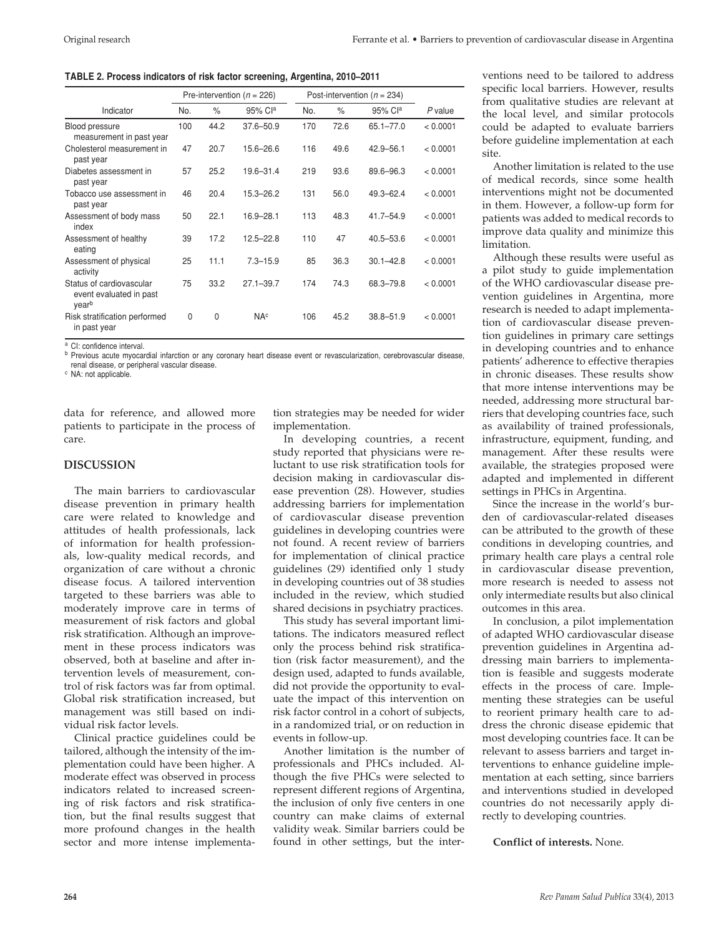| TABLE 2. Process indicators of risk factor screening, Argentina, 2010–2011 |  |  |
|----------------------------------------------------------------------------|--|--|
|----------------------------------------------------------------------------|--|--|

|                                                              | Pre-intervention ( $n = 226$ ) |              | Post-intervention ( $n = 234$ ) |     |      |               |          |
|--------------------------------------------------------------|--------------------------------|--------------|---------------------------------|-----|------|---------------|----------|
| Indicator                                                    | No.                            | $\%$         | 95% Cla                         | No. | $\%$ | 95% Cla       | P value  |
| Blood pressure<br>measurement in past year                   | 100                            | 44.2         | $37.6 - 50.9$                   | 170 | 72.6 | $65.1 - 77.0$ | < 0.0001 |
| Cholesterol measurement in<br>past year                      | 47                             | 20.7         | $15.6 - 26.6$                   | 116 | 49.6 | 42.9-56.1     | < 0.0001 |
| Diabetes assessment in<br>past year                          | 57                             | 25.2         | $19.6 - 31.4$                   | 219 | 93.6 | 89.6-96.3     | < 0.0001 |
| Tobacco use assessment in<br>past year                       | 46                             | 20.4         | $15.3 - 26.2$                   | 131 | 56.0 | $49.3 - 62.4$ | < 0.0001 |
| Assessment of body mass<br>index                             | 50                             | 22.1         | $16.9 - 28.1$                   | 113 | 48.3 | $41.7 - 54.9$ | < 0.0001 |
| Assessment of healthy<br>eating                              | 39                             | 17.2         | $12.5 - 22.8$                   | 110 | 47   | $40.5 - 53.6$ | < 0.0001 |
| Assessment of physical<br>activity                           | 25                             | 11.1         | $7.3 - 15.9$                    | 85  | 36.3 | $30.1 - 42.8$ | < 0.0001 |
| Status of cardiovascular<br>event evaluated in past<br>yearb | 75                             | 33.2         | $27.1 - 39.7$                   | 174 | 74.3 | 68.3-79.8     | < 0.0001 |
| Risk stratification performed<br>in past year                | $\Omega$                       | $\mathbf{0}$ | NA <sup>c</sup>                 | 106 | 45.2 | $38.8 - 51.9$ | < 0.0001 |

<sup>a</sup> CI: confidence interval.

**b** Previous acute myocardial infarction or any coronary heart disease event or revascularization, cerebrovascular disease, renal disease, or peripheral vascular disease.

<sup>c</sup> NA: not applicable.

data for reference, and allowed more patients to participate in the process of care.

## **Discussion**

The main barriers to cardiovascular disease prevention in primary health care were related to knowledge and attitudes of health professionals, lack of information for health professionals, low-quality medical records, and organization of care without a chronic disease focus. A tailored intervention targeted to these barriers was able to moderately improve care in terms of measurement of risk factors and global risk stratification. Although an improvement in these process indicators was observed, both at baseline and after intervention levels of measurement, control of risk factors was far from optimal. Global risk stratification increased, but management was still based on individual risk factor levels.

Clinical practice guidelines could be tailored, although the intensity of the implementation could have been higher. A moderate effect was observed in process indicators related to increased screening of risk factors and risk stratification, but the final results suggest that more profound changes in the health sector and more intense implementation strategies may be needed for wider implementation.

In developing countries, a recent study reported that physicians were reluctant to use risk stratification tools for decision making in cardiovascular disease prevention (28). However, studies addressing barriers for implementation of cardiovascular disease prevention guidelines in developing countries were not found. A recent review of barriers for implementation of clinical practice guidelines (29) identified only 1 study in developing countries out of 38 studies included in the review, which studied shared decisions in psychiatry practices.

This study has several important limitations. The indicators measured reflect only the process behind risk stratification (risk factor measurement), and the design used, adapted to funds available, did not provide the opportunity to evaluate the impact of this intervention on risk factor control in a cohort of subjects, in a randomized trial, or on reduction in events in follow-up.

Another limitation is the number of professionals and PHCs included. Although the five PHCs were selected to represent different regions of Argentina, the inclusion of only five centers in one country can make claims of external validity weak. Similar barriers could be found in other settings, but the interventions need to be tailored to address specific local barriers. However, results from qualitative studies are relevant at the local level, and similar protocols could be adapted to evaluate barriers before guideline implementation at each site.

Another limitation is related to the use of medical records, since some health interventions might not be documented in them. However, a follow-up form for patients was added to medical records to improve data quality and minimize this limitation.

Although these results were useful as a pilot study to guide implementation of the WHO cardiovascular disease prevention guidelines in Argentina, more research is needed to adapt implementation of cardiovascular disease prevention guidelines in primary care settings in developing countries and to enhance patients' adherence to effective therapies in chronic diseases. These results show that more intense interventions may be needed, addressing more structural barriers that developing countries face, such as availability of trained professionals, infrastructure, equipment, funding, and management. After these results were available, the strategies proposed were adapted and implemented in different settings in PHCs in Argentina.

Since the increase in the world's burden of cardiovascular-related diseases can be attributed to the growth of these conditions in developing countries, and primary health care plays a central role in cardiovascular disease prevention, more research is needed to assess not only intermediate results but also clinical outcomes in this area.

In conclusion, a pilot implementation of adapted WHO cardiovascular disease prevention guidelines in Argentina addressing main barriers to implementation is feasible and suggests moderate effects in the process of care. Implementing these strategies can be useful to reorient primary health care to address the chronic disease epidemic that most developing countries face. It can be relevant to assess barriers and target interventions to enhance guideline implementation at each setting, since barriers and interventions studied in developed countries do not necessarily apply directly to developing countries.

**Conflict of interests.** None.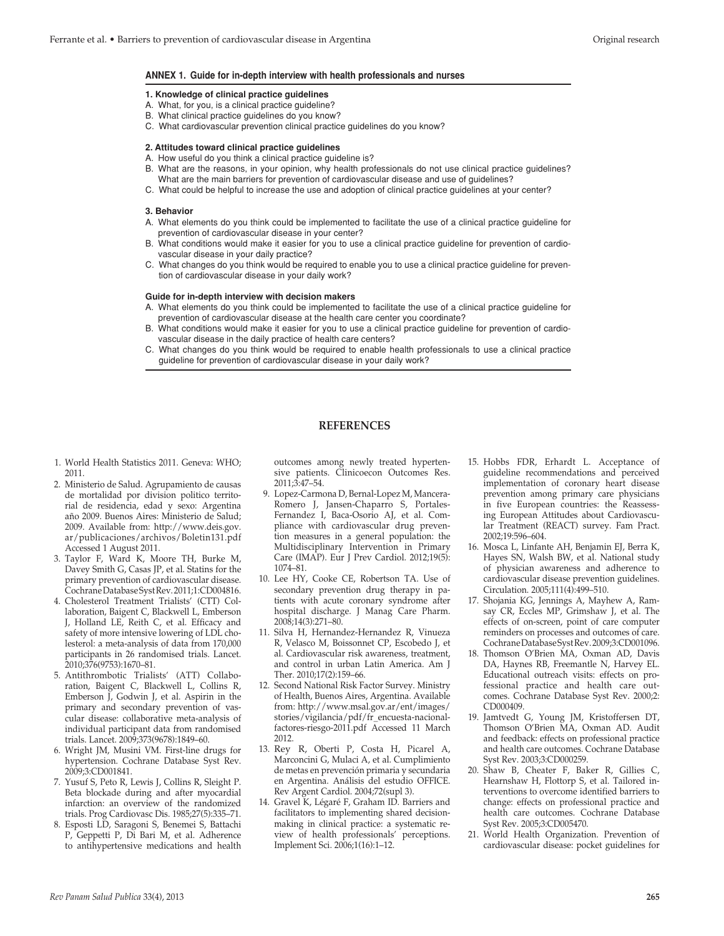#### **Annex 1. Guide for in-depth interview with health professionals and nurses**

#### **1. Knowledge of clinical practice guidelines**

- A. What, for you, is a clinical practice guideline?
- B. What clinical practice guidelines do you know?
- C. What cardiovascular prevention clinical practice guidelines do you know?

#### **2. Attitudes toward clinical practice guidelines**

- A. How useful do you think a clinical practice guideline is?
- B. What are the reasons, in your opinion, why health professionals do not use clinical practice guidelines? What are the main barriers for prevention of cardiovascular disease and use of guidelines?
- C. What could be helpful to increase the use and adoption of clinical practice guidelines at your center?

#### **3. Behavior**

- A. What elements do you think could be implemented to facilitate the use of a clinical practice guideline for prevention of cardiovascular disease in your center?
- B. What conditions would make it easier for you to use a clinical practice guideline for prevention of cardiovascular disease in your daily practice?
- C. What changes do you think would be required to enable you to use a clinical practice guideline for prevention of cardiovascular disease in your daily work?

#### **Guide for in-depth interview with decision makers**

- A. What elements do you think could be implemented to facilitate the use of a clinical practice guideline for prevention of cardiovascular disease at the health care center you coordinate?
- B. What conditions would make it easier for you to use a clinical practice guideline for prevention of cardiovascular disease in the daily practice of health care centers?
- C. What changes do you think would be required to enable health professionals to use a clinical practice guideline for prevention of cardiovascular disease in your daily work?

#### **REFERENCES**

- 1. World Health Statistics 2011. Geneva: WHO; 2011.
- 2. Ministerio de Salud. Agrupamiento de causas de mortalidad por division politico territorial de residencia, edad y sexo: Argentina año 2009. Buenos Aires: Ministerio de Salud; 2009. Available from: http://www.deis.gov. ar/publicaciones/archivos/Boletin131.pdf Accessed 1 August 2011.
- 3. Taylor F, Ward K, Moore TH, Burke M, Davey Smith G, Casas JP, et al. Statins for the primary prevention of cardiovascular disease. Cochrane Database Syst Rev. 2011;1:CD004816.
- 4. Cholesterol Treatment Trialists' (CTT) Collaboration, Baigent C, Blackwell L, Emberson J, Holland LE, Reith C, et al. Efficacy and safety of more intensive lowering of LDL cholesterol: a meta-analysis of data from 170,000 participants in 26 randomised trials. Lancet. 2010;376(9753):1670–81.
- 5. Antithrombotic Trialists' (ATT) Collaboration, Baigent C, Blackwell L, Collins R, Emberson J, Godwin J, et al. Aspirin in the primary and secondary prevention of vascular disease: collaborative meta-analysis of individual participant data from randomised trials. Lancet. 2009;373(9678):1849–60.
- 6. Wright JM, Musini VM. First-line drugs for hypertension. Cochrane Database Syst Rev. 2009;3:CD001841.
- 7. Yusuf S, Peto R, Lewis J, Collins R, Sleight P. Beta blockade during and after myocardial infarction: an overview of the randomized trials. Prog Cardiovasc Dis. 1985;27(5):335–71.
- 8. Esposti LD, Saragoni S, Benemei S, Battachi P, Geppetti P, Di Bari M, et al. Adherence to antihypertensive medications and health

outcomes among newly treated hypertensive patients. Clinicoecon Outcomes Res. 2011;3:47–54.

- 9. Lopez-Carmona D, Bernal-Lopez M, Mancera-Romero J, Jansen-Chaparro S, Portales-Fernandez I, Baca-Osorio AJ, et al. Compliance with cardiovascular drug prevention measures in a general population: the Multidisciplinary Intervention in Primary Care (IMAP). Eur J Prev Cardiol. 2012;19(5): 1074–81.
- 10. Lee HY, Cooke CE, Robertson TA. Use of secondary prevention drug therapy in patients with acute coronary syndrome after hospital discharge. J Manag Care Pharm. 2008;14(3):271–80.
- 11. Silva H, Hernandez-Hernandez R, Vinueza R, Velasco M, Boissonnet CP, Escobedo J, et al. Cardiovascular risk awareness, treatment, and control in urban Latin America. Am J Ther. 2010;17(2):159–66.
- 12. Second National Risk Factor Survey. Ministry of Health, Buenos Aires, Argentina. Available from: http://www.msal.gov.ar/ent/images/ stories/vigilancia/pdf/fr\_encuesta-nacionalfactores-riesgo-2011.pdf Accessed 11 March 2012.
- 13. Rey R, Oberti P, Costa H, Picarel A, Marconcini G, Mulaci A, et al. Cumplimiento de metas en prevención primaria y secundaria en Argentina. Análisis del estudio OFFICE. Rev Argent Cardiol. 2004;72(supl 3).
- 14. Gravel K, Légaré F, Graham ID. Barriers and facilitators to implementing shared decisionmaking in clinical practice: a systematic review of health professionals' perceptions. Implement Sci. 2006;1(16):1–12.
- 15. Hobbs FDR, Erhardt L. Acceptance of guideline recommendations and perceived implementation of coronary heart disease prevention among primary care physicians in five European countries: the Reassessing European Attitudes about Cardiovascular Treatment (REACT) survey. Fam Pract. 2002;19:596–604.
- 16. Mosca L, Linfante AH, Benjamin EJ, Berra K, Hayes SN, Walsh BW, et al. National study of physician awareness and adherence to cardiovascular disease prevention guidelines. Circulation. 2005;111(4):499–510.
- 17. Shojania KG, Jennings A, Mayhew A, Ramsay CR, Eccles MP, Grimshaw J, et al. The effects of on-screen, point of care computer reminders on processes and outcomes of care. Cochrane Database Syst Rev. 2009;3:CD001096.
- 18. Thomson O'Brien MA, Oxman AD, Davis DA, Haynes RB, Freemantle N, Harvey EL. Educational outreach visits: effects on professional practice and health care outcomes. Cochrane Database Syst Rev. 2000;2: CD000409.
- 19. Jamtvedt G, Young JM, Kristoffersen DT, Thomson O'Brien MA, Oxman AD. Audit and feedback: effects on professional practice and health care outcomes. Cochrane Database Syst Rev. 2003;3:CD000259.
- 20. Shaw B, Cheater F, Baker R, Gillies C, Hearnshaw H, Flottorp S, et al. Tailored interventions to overcome identified barriers to change: effects on professional practice and health care outcomes. Cochrane Database Syst Rev. 2005;3:CD005470.
- 21. World Health Organization. Prevention of cardiovascular disease: pocket guidelines for